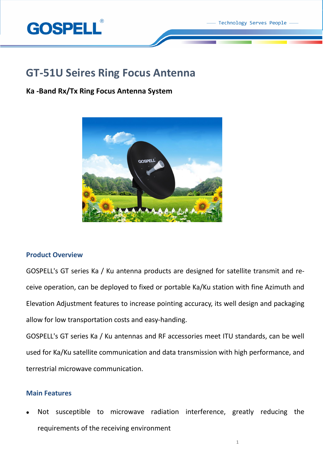

# **GT-51U Seires Ring Focus Antenna**

# **Ka -Band Rx/Tx Ring Focus Antenna System**



# **Product Overview**

GOSPELL's GT series Ka / Ku antenna products are designed for satellite transmit and receive operation, can be deployed to fixed or portable Ka/Ku station with fine Azimuth and Elevation Adjustment features to increase pointing accuracy, its well design and packaging allow for low transportation costs and easy-handing.

GOSPELL's GT series Ka / Ku antennas and RF accessories meet ITU standards, can be well used for Ka/Ku satellite communication and data transmission with high performance, and terrestrial microwave communication.

# **Main Features**

 Not susceptible to microwave radiation interference, greatly reducing the requirements of the receiving environment

1